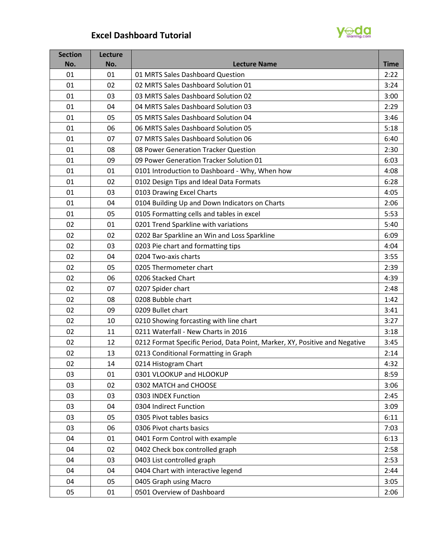## **Excel Dashboard Tutorial**



| <b>Section</b><br>No. | Lecture<br>No. | <b>Lecture Name</b>                                                        | <b>Time</b> |
|-----------------------|----------------|----------------------------------------------------------------------------|-------------|
| 01                    | 01             | 01 MRTS Sales Dashboard Question                                           | 2:22        |
| 01                    | 02             | 02 MRTS Sales Dashboard Solution 01                                        | 3:24        |
| 01                    | 03             | 03 MRTS Sales Dashboard Solution 02                                        | 3:00        |
| 01                    | 04             | 04 MRTS Sales Dashboard Solution 03                                        | 2:29        |
| 01                    | 05             | 05 MRTS Sales Dashboard Solution 04                                        | 3:46        |
| 01                    | 06             | 06 MRTS Sales Dashboard Solution 05                                        | 5:18        |
| 01                    | 07             | 07 MRTS Sales Dashboard Solution 06                                        | 6:40        |
| 01                    | 08             | 08 Power Generation Tracker Question                                       | 2:30        |
| 01                    | 09             | 09 Power Generation Tracker Solution 01                                    | 6:03        |
| 01                    | 01             | 0101 Introduction to Dashboard - Why, When how                             | 4:08        |
| 01                    | 02             | 0102 Design Tips and Ideal Data Formats                                    | 6:28        |
| 01                    | 03             | 0103 Drawing Excel Charts                                                  | 4:05        |
| 01                    | 04             | 0104 Building Up and Down Indicators on Charts                             | 2:06        |
| 01                    | 05             | 0105 Formatting cells and tables in excel                                  | 5:53        |
| 02                    | 01             | 0201 Trend Sparkline with variations                                       | 5:40        |
| 02                    | 02             | 0202 Bar Sparkline an Win and Loss Sparkline                               | 6:09        |
| 02                    | 03             | 0203 Pie chart and formatting tips                                         | 4:04        |
| 02                    | 04             | 0204 Two-axis charts                                                       | 3:55        |
| 02                    | 05             | 0205 Thermometer chart                                                     | 2:39        |
| 02                    | 06             | 0206 Stacked Chart                                                         | 4:39        |
| 02                    | 07             | 0207 Spider chart                                                          | 2:48        |
| 02                    | 08             | 0208 Bubble chart                                                          | 1:42        |
| 02                    | 09             | 0209 Bullet chart                                                          | 3:41        |
| 02                    | 10             | 0210 Showing forcasting with line chart                                    | 3:27        |
| 02                    | 11             | 0211 Waterfall - New Charts in 2016                                        | 3:18        |
| 02                    | 12             | 0212 Format Specific Period, Data Point, Marker, XY, Positive and Negative | 3:45        |
| 02                    | 13             | 0213 Conditional Formatting in Graph                                       | 2:14        |
| 02                    | 14             | 0214 Histogram Chart                                                       | 4:32        |
| 03                    | 01             | 0301 VLOOKUP and HLOOKUP                                                   | 8:59        |
| 03                    | 02             | 0302 MATCH and CHOOSE                                                      | 3:06        |
| 03                    | 03             | 0303 INDEX Function                                                        | 2:45        |
| 03                    | 04             | 0304 Indirect Function                                                     | 3:09        |
| 03                    | 05             | 0305 Pivot tables basics                                                   | 6:11        |
| 03                    | 06             | 0306 Pivot charts basics                                                   | 7:03        |
| 04                    | 01             | 0401 Form Control with example                                             | 6:13        |
| 04                    | 02             | 0402 Check box controlled graph                                            | 2:58        |
| 04                    | 03             | 0403 List controlled graph                                                 | 2:53        |
| 04                    | 04             | 0404 Chart with interactive legend                                         | 2:44        |
| 04                    | 05             | 0405 Graph using Macro                                                     | 3:05        |
| 05                    | 01             | 0501 Overview of Dashboard                                                 | 2:06        |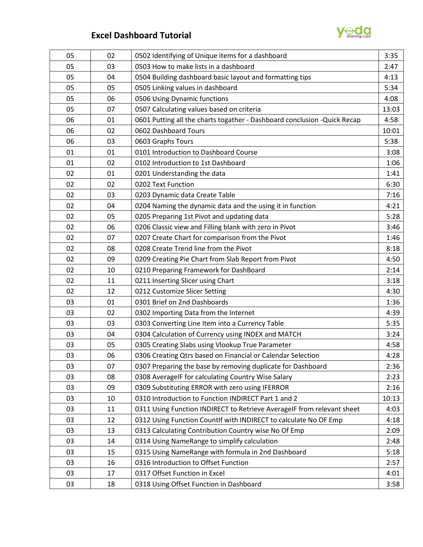

## **Excel Dashboard Tutorial**

| 05 | 02 | 0502 Identifying of Unique items for a dashboard                          | 3:35  |
|----|----|---------------------------------------------------------------------------|-------|
| 05 | 03 | 0503 How to make lists in a dashboard                                     | 2:47  |
| 05 | 04 | 0504 Building dashboard basic layout and formatting tips                  | 4:13  |
| 05 | 05 | 0505 Linking values in dashboard                                          | 5:34  |
| 05 | 06 | 0506 Using Dynamic functions                                              | 4:08  |
| 05 | 07 | 0507 Calculating values based on criteria                                 | 13:03 |
| 06 | 01 | 0601 Putting all the charts togather - Dashboard conclusion - Quick Recap | 4:58  |
| 06 | 02 | 0602 Dashboard Tours                                                      | 10:01 |
| 06 | 03 | 0603 Graphs Tours                                                         | 5:38  |
| 01 | 01 | 0101 Introduction to Dashboard Course                                     | 3:08  |
| 01 | 02 | 0102 Introduction to 1st Dashboard                                        | 1:06  |
| 02 | 01 | 0201 Understanding the data                                               | 1:41  |
| 02 | 02 | 0202 Text Function                                                        | 6:30  |
| 02 | 03 | 0203 Dynamic data Create Table                                            | 7:16  |
| 02 | 04 | 0204 Naming the dynamic data and the using it in function                 | 4:21  |
| 02 | 05 | 0205 Preparing 1st Pivot and updating data                                | 5:28  |
| 02 | 06 | 0206 Classic view and Filling blank with zero in Pivot                    | 3:46  |
| 02 | 07 | 0207 Create Chart for comparison from the Pivot                           | 1:46  |
| 02 | 08 | 0208 Create Trend line from the Pivot                                     | 8:18  |
| 02 | 09 | 0209 Creating Pie Chart from Slab Report from Pivot                       | 4:50  |
| 02 | 10 | 0210 Preparing Framework for DashBoard                                    | 2:14  |
| 02 | 11 | 0211 Inserting Slicer using Chart                                         | 3:18  |
| 02 | 12 | 0212 Customize Slicer Setting                                             | 4:30  |
| 03 | 01 | 0301 Brief on 2nd Dashboards                                              | 1:36  |
| 03 | 02 | 0302 Importing Data from the Internet                                     | 4:39  |
| 03 | 03 | 0303 Converting Line Item into a Currency Table                           | 5:35  |
| 03 | 04 | 0304 Calculation of Currency using INDEX and MATCH                        | 3:24  |
| 03 | 05 | 0305 Creating Slabs using Vlookup True Parameter                          | 4:58  |
| 03 | 06 | 0306 Creating Qtrs based on Financial or Calendar Selection               | 4:28  |
| 03 | 07 | 0307 Preparing the base by removing duplicate for Dashboard               | 2:36  |
| 03 | 08 | 0308 AverageIF for calculating Country Wise Salary                        | 2:23  |
| 03 | 09 | 0309 Substituting ERROR with zero using IFERROR                           | 2:16  |
| 03 | 10 | 0310 Introduction to Function INDIRECT Part 1 and 2                       | 10:13 |
| 03 | 11 | 0311 Using Function INDIRECT to Retrieve AverageIF from relevant sheet    | 4:03  |
| 03 | 12 | 0312 Using Function CountIf with INDIRECT to calculate No OF Emp          | 4:18  |
| 03 | 13 | 0313 Calculating Contribution Country wise No Of Emp                      | 2:09  |
| 03 | 14 | 0314 Using NameRange to simplify calculation                              | 2:48  |
| 03 | 15 | 0315 Using NameRange with formula in 2nd Dashboard                        | 5:18  |
| 03 | 16 | 0316 Introduction to Offset Function                                      | 2:57  |
| 03 | 17 | 0317 Offset Function in Excel                                             | 4:01  |
| 03 | 18 | 0318 Using Offset Function in Dashboard                                   | 3:58  |